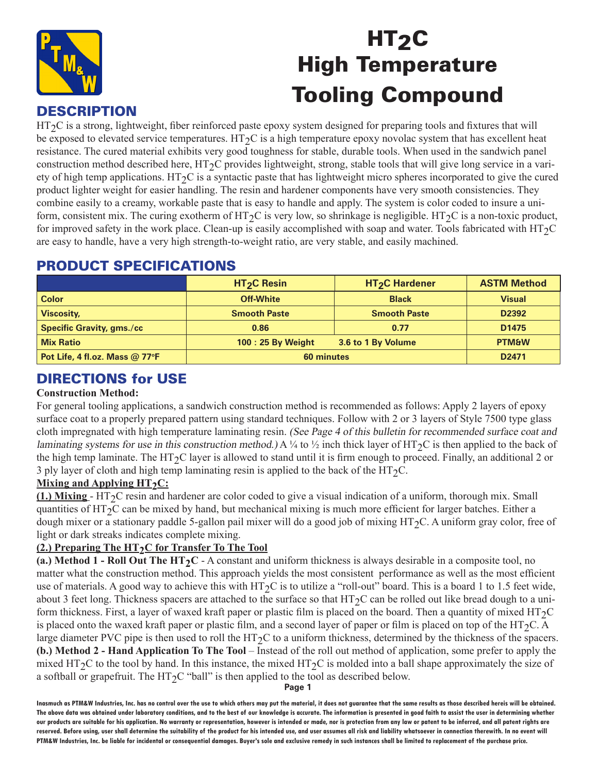

# HT<sub>2</sub>C High Temperature **Tooling Compound**<br>DESCRIPTION

HT<sub>2</sub>C is a strong, lightweight, fiber reinforced paste epoxy system designed for preparing tools and fixtures that will be exposed to elevated service temperatures. HT $_2C$  is a high temperature epoxy novolac system that has excellent heat resistance. The cured material exhibits very good toughness for stable, durable tools. When used in the sandwich panel construction method described here,  $HT_2C$  provides lightweight, strong, stable tools that will give long service in a variety of high temp applications.  $HT<sub>2</sub>C$  is a syntactic paste that has lightweight micro spheres incorporated to give the cured product lighter weight for easier handling. The resin and hardener components have very smooth consistencies. They combine easily to a creamy, workable paste that is easy to handle and apply. The system is color coded to insure a uniform, consistent mix. The curing exotherm of  $HT_2C$  is very low, so shrinkage is negligible. HT $_2C$  is a non-toxic product, for improved safety in the work place. Clean-up is easily accomplished with soap and water. Tools fabricated with HT<sub>2</sub>C are easy to handle, have a very high strength-to-weight ratio, are very stable, and easily machined.

|                                  | HT <sub>2</sub> C Resin | HT <sub>2</sub> C Hardener | <b>ASTM Method</b> |
|----------------------------------|-------------------------|----------------------------|--------------------|
| <b>Color</b>                     | <b>Off-White</b>        | <b>Black</b>               | <b>Visual</b>      |
| <b>Viscosity,</b>                | <b>Smooth Paste</b>     | <b>Smooth Paste</b>        | D <sub>2392</sub>  |
| <b>Specific Gravity, gms./cc</b> | 0.86                    | 0.77                       | D <sub>1475</sub>  |
| <b>Mix Ratio</b>                 | 100 : 25 By Weight      | 3.6 to 1 By Volume         | <b>PTM&amp;W</b>   |
| Pot Life, 4 fl.oz. Mass @ 77°F   | 60 minutes              |                            | D <sub>2471</sub>  |

# PRODUCT SPECIFICATIONS

# DIRECTIONS for USE

#### **Construction Method:**

For general tooling applications, a sandwich construction method is recommended as follows: Apply 2 layers of epoxy surface coat to a properly prepared pattern using standard techniques. Follow with 2 or 3 layers of Style 7500 type glass cloth impregnated with high temperature laminating resin. (See Page 4 of this bulletin for recommended surface coat and laminating systems for use in this construction method.) A  $\frac{1}{4}$  to  $\frac{1}{2}$  inch thick layer of HT<sub>2</sub>C is then applied to the back of the high temp laminate. The HT<sub>2</sub>C layer is allowed to stand until it is firm enough to proceed. Finally, an additional 2 or 3 ply layer of cloth and high temp laminating resin is applied to the back of the HT $_2$ C.

#### **Mixing and Applying HT<sub>2</sub>C:**

**(1.) Mixing** - HT2C resin and hardener are color coded to give a visual indication of a uniform, thorough mix. Small quantities of  $HT_2C$  can be mixed by hand, but mechanical mixing is much more efficient for larger batches. Either a dough mixer or a stationary paddle 5-gallon pail mixer will do a good job of mixing HT2C. A uniform gray color, free of light or dark streaks indicates complete mixing.

#### **(2.) Preparing The HT<sub>2</sub>C for Transfer To The Tool**

(a.) Method 1 - Roll Out The HT<sub>2</sub>C - A constant and uniform thickness is always desirable in a composite tool, no matter what the construction method. This approach yields the most consistent performance as well as the most efficient use of materials. A good way to achieve this with  $HT_2C$  is to utilize a "roll-out" board. This is a board 1 to 1.5 feet wide, about 3 feet long. Thickness spacers are attached to the surface so that  $HT<sub>2</sub>C$  can be rolled out like bread dough to a uniform thickness. First, a layer of waxed kraft paper or plastic film is placed on the board. Then a quantity of mixed  $HT_2C$ is placed onto the waxed kraft paper or plastic film, and a second layer of paper or film is placed on top of the HT<sub>2</sub>C. A large diameter PVC pipe is then used to roll the HT<sub>2</sub>C to a uniform thickness, determined by the thickness of the spacers. **(b.) Method 2 - Hand Application To The Tool** – Instead of the roll out method of application, some prefer to apply the mixed HT<sub>2</sub>C to the tool by hand. In this instance, the mixed HT<sub>2</sub>C is molded into a ball shape approximately the size of a softball or grapefruit. The  $HT_2C$  "ball" is then applied to the tool as described below.

**Page 1**

**Inasmuch as PTM&W Industries, Inc. has no control over the use to which others may put the material, it does not guarantee that the same results as those described hereis will be obtained. The above data was obtained under laboratory conditions, and to the best of our knowledge is accurate. The information is presented in good faith to assist the user in determining whether our products are suitable for his application. No warranty or representation, however is intended or made, nor is protection from any law or patent to be inferred, and all patent rights are**  reserved. Before using, user shall determine the suitability of the product for his intended use, and user assumes all risk and liability whatsoever in connection therewith. In no event will **PTM&W Industries, Inc. be liable for incidental or consequential damages. Buyer's sole and exclusive remedy in such instances shall be limited to replacement of the purchase price.**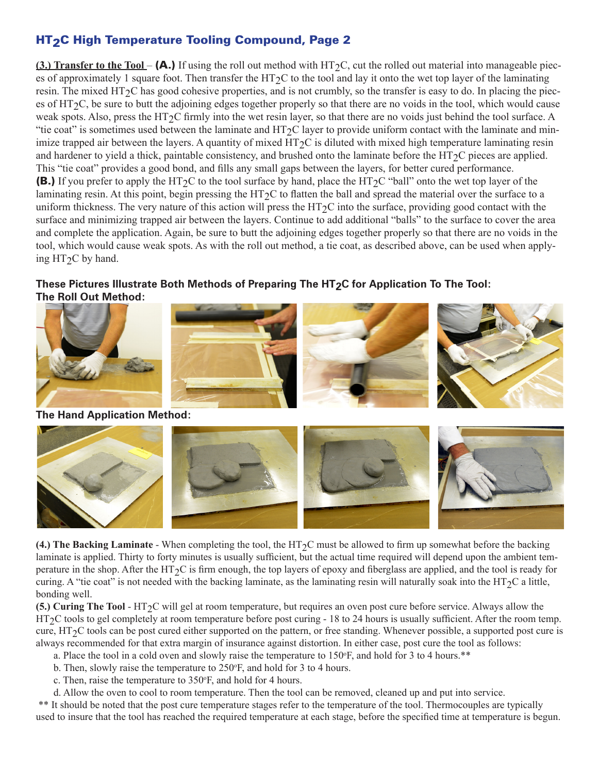# HT2C High Temperature Tooling Compound, Page 2

**(3.) Transfer to the Tool – (A.)** If using the roll out method with HT<sub>2</sub>C, cut the rolled out material into manageable pieces of approximately 1 square foot. Then transfer the HT<sub>2</sub>C to the tool and lay it onto the wet top layer of the laminating resin. The mixed  $HT_2C$  has good cohesive properties, and is not crumbly, so the transfer is easy to do. In placing the pieces of  $HT_2C$ , be sure to butt the adjoining edges together properly so that there are no voids in the tool, which would cause weak spots. Also, press the HT $_2C$  firmly into the wet resin layer, so that there are no voids just behind the tool surface. A "tie coat" is sometimes used between the laminate and  $HT_2C$  layer to provide uniform contact with the laminate and minimize trapped air between the layers. A quantity of mixed  $HT<sub>2</sub>C$  is diluted with mixed high temperature laminating resin and hardener to yield a thick, paintable consistency, and brushed onto the laminate before the HT $_{2}$ C pieces are applied. This "tie coat" provides a good bond, and fills any small gaps between the layers, for better cured performance. **(B.)** If you prefer to apply the HT<sub>2</sub>C to the tool surface by hand, place the HT<sub>2</sub>C "ball" onto the wet top layer of the laminating resin. At this point, begin pressing the HT $_{2}$ C to flatten the ball and spread the material over the surface to a uniform thickness. The very nature of this action will press the  $HT<sub>2</sub>C$  into the surface, providing good contact with the surface and minimizing trapped air between the layers. Continue to add additional "balls" to the surface to cover the area and complete the application. Again, be sure to butt the adjoining edges together properly so that there are no voids in the tool, which would cause weak spots. As with the roll out method, a tie coat, as described above, can be used when applying  $HT_2C$  by hand.

#### These Pictures Illustrate Both Methods of Preparing The HT<sub>2</sub>C for Application To The Tool: **The Roll Out Method:**



**(4.) The Backing Laminate** - When completing the tool, the HT $_2$ C must be allowed to firm up somewhat before the backing laminate is applied. Thirty to forty minutes is usually sufficient, but the actual time required will depend upon the ambient temperature in the shop. After the HT<sub>2</sub>C is firm enough, the top layers of epoxy and fiberglass are applied, and the tool is ready for curing. A "tie coat" is not needed with the backing laminate, as the laminating resin will naturally soak into the HT<sub>2</sub>C a little, bonding well.

**(5.) Curing The Tool** - HT<sub>2</sub>C will gel at room temperature, but requires an oven post cure before service. Always allow the HT<sub>2</sub>C tools to gel completely at room temperature before post curing - 18 to 24 hours is usually sufficient. After the room temp. cure,  $HT_2C$  tools can be post cured either supported on the pattern, or free standing. Whenever possible, a supported post cure is always recommended for that extra margin of insurance against distortion. In either case, post cure the tool as follows:

- a. Place the tool in a cold oven and slowly raise the temperature to  $150\textdegree F$ , and hold for 3 to 4 hours.\*\*
- b. Then, slowly raise the temperature to 250°F, and hold for 3 to 4 hours.
- c. Then, raise the temperature to 350°F, and hold for 4 hours.

d. Allow the oven to cool to room temperature. Then the tool can be removed, cleaned up and put into service.

 \*\* It should be noted that the post cure temperature stages refer to the temperature of the tool. Thermocouples are typically used to insure that the tool has reached the required temperature at each stage, before the specified time at temperature is begun.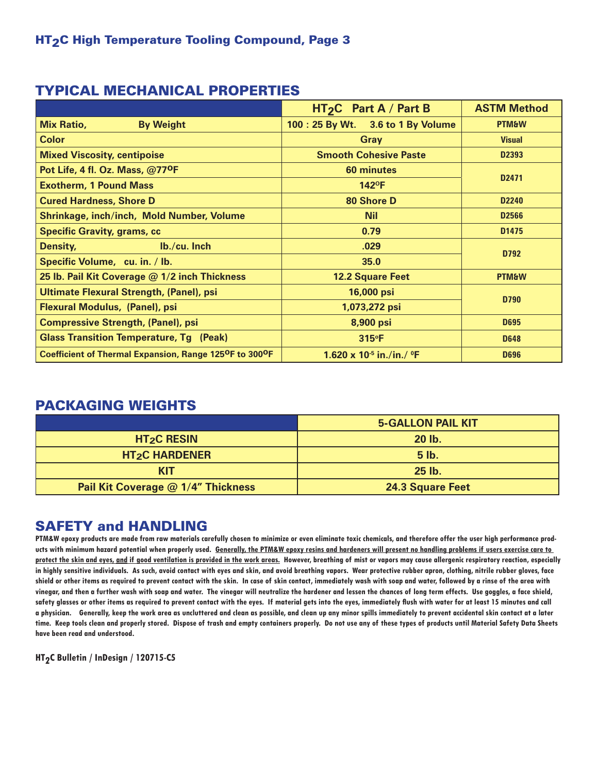### TYPICAL MECHANICAL PROPERTIES

|                                                                                  | HT <sub>2</sub> C Part A / Part B              | <b>ASTM Method</b> |
|----------------------------------------------------------------------------------|------------------------------------------------|--------------------|
| <b>Mix Ratio,</b><br><b>By Weight</b>                                            | 100: 25 By Wt. 3.6 to 1 By Volume              | <b>PTM&amp;W</b>   |
| <b>Color</b>                                                                     | <b>Gray</b>                                    | <b>Visual</b>      |
| <b>Mixed Viscosity, centipoise</b>                                               | <b>Smooth Cohesive Paste</b>                   | D2393              |
| Pot Life, 4 fl. Oz. Mass, @77 <sup>O</sup> F                                     | <b>60 minutes</b>                              |                    |
| <b>Exotherm, 1 Pound Mass</b>                                                    | D <sub>2471</sub><br>$142^{\circ}F$            |                    |
| <b>Cured Hardness, Shore D</b>                                                   | 80 Shore D                                     | D <sub>2240</sub>  |
| <b>Shrinkage, inch/inch, Mold Number, Volume</b>                                 | <b>Nil</b>                                     | D2566              |
| <b>Specific Gravity, grams, cc</b>                                               | 0.79                                           | D <sub>1475</sub>  |
| Density,<br>$Ib./cu.$ Inch                                                       | .029                                           | D792               |
| Specific Volume, cu. in. / lb.                                                   | 35.0                                           |                    |
| 25 lb. Pail Kit Coverage @ 1/2 inch Thickness                                    | <b>12.2 Square Feet</b>                        | <b>PTM&amp;W</b>   |
| Ultimate Flexural Strength, (Panel), psi                                         | 16,000 psi                                     |                    |
| Flexural Modulus, (Panel), psi                                                   | D790<br>1,073,272 psi                          |                    |
| <b>Compressive Strength, (Panel), psi</b>                                        | 8,900 psi                                      | <b>D695</b>        |
| <b>Glass Transition Temperature, Tg (Peak)</b>                                   | $315^{\circ}F$                                 | <b>D648</b>        |
| Coefficient of Thermal Expansion, Range 125 <sup>O</sup> F to 300 <sup>O</sup> F | 1.620 x 10 <sup>-5</sup> in./in./ $^{\circ}$ F | <b>D696</b>        |

# PACKAGING WEIGHTS

|                                    | <b>5-GALLON PAIL KIT</b> |
|------------------------------------|--------------------------|
| $HT2C$ RESIN                       | $20$ lb.                 |
| <b>HT<sub>2</sub>C HARDENER</b>    | <b>5 lb.</b>             |
| <b>KIT</b>                         | $25$ lb.                 |
| Pail Kit Coverage @ 1/4" Thickness | <b>24.3 Square Feet</b>  |

# SAFETY and HANDLING

**PTM&W epoxy products are made from raw materials carefully chosen to minimize or even eliminate toxic chemicals, and therefore offer the user high performance products with minimum hazard potential when properly used. Generally, the PTM&W epoxy resins and hardeners will present no handling problems if users exercise care to protect the skin and eyes, and if good ventilation is provided in the work areas. However, breathing of mist or vapors may cause allergenic respiratory reaction, especially in highly sensitive individuals. As such, avoid contact with eyes and skin, and avoid breathing vapors. Wear protective rubber apron, clothing, nitrile rubber gloves, face shield or other items as required to prevent contact with the skin. In case of skin contact, immediately wash with soap and water, followed by a rinse of the area with vinegar, and then a further wash with soap and water. The vinegar will neutralize the hardener and lessen the chances of long term effects. Use goggles, a face shield, safety glasses or other items as required to prevent contact with the eyes. If material gets into the eyes, immediately flush with water for at least 15 minutes and call a physician. Generally, keep the work area as uncluttered and clean as possible, and clean up any minor spills immediately to prevent accidental skin contact at a later time. Keep tools clean and properly stored. Dispose of trash and empty containers properly. Do not use any of these types of products until Material Safety Data Sheets have been read and understood.**

**HT2C Bulletin / InDesign / 120715-C5**